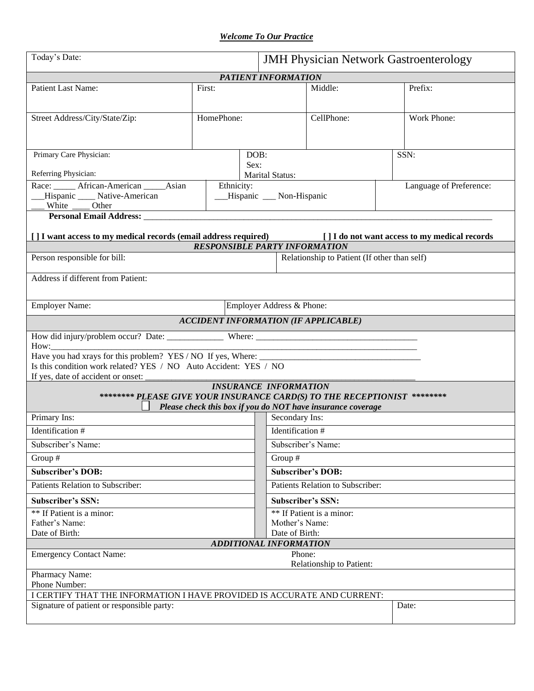*Welcome To Our Practice*

| Today's Date:                                                                                                                                                                                                                                                                                      |                                                                    | <b>JMH Physician Network Gastroenterology</b> |                                                             |  |                                               |  |  |  |
|----------------------------------------------------------------------------------------------------------------------------------------------------------------------------------------------------------------------------------------------------------------------------------------------------|--------------------------------------------------------------------|-----------------------------------------------|-------------------------------------------------------------|--|-----------------------------------------------|--|--|--|
| PATIENT INFORMATION                                                                                                                                                                                                                                                                                |                                                                    |                                               |                                                             |  |                                               |  |  |  |
| Patient Last Name:                                                                                                                                                                                                                                                                                 | First:                                                             |                                               | Middle:                                                     |  | Prefix:                                       |  |  |  |
| Street Address/City/State/Zip:                                                                                                                                                                                                                                                                     | HomePhone:                                                         |                                               | CellPhone:                                                  |  | Work Phone:                                   |  |  |  |
| Primary Care Physician:                                                                                                                                                                                                                                                                            | DOB:<br>Sex:                                                       |                                               |                                                             |  | SSN:                                          |  |  |  |
| Referring Physician:<br>Race: ______ African-American _____ Asian<br>Hispanic _____ Native-American<br>Other<br>White                                                                                                                                                                              | <b>Marital Status:</b><br>Ethnicity:<br>__Hispanic __ Non-Hispanic |                                               |                                                             |  | Language of Preference:                       |  |  |  |
| Personal Email Address: North and Security and Security and Security and Security and Security and Security and Security and Security and Security and Security and Security and Security and Security and Security and Securi<br>[ ] I want access to my medical records (email address required) |                                                                    |                                               |                                                             |  | [] I do not want access to my medical records |  |  |  |
|                                                                                                                                                                                                                                                                                                    | <b>RESPONSIBLE PARTY INFORMATION</b>                               |                                               |                                                             |  |                                               |  |  |  |
| Person responsible for bill:                                                                                                                                                                                                                                                                       |                                                                    |                                               | Relationship to Patient (If other than self)                |  |                                               |  |  |  |
| Address if different from Patient:                                                                                                                                                                                                                                                                 |                                                                    |                                               |                                                             |  |                                               |  |  |  |
| <b>Employer Name:</b>                                                                                                                                                                                                                                                                              |                                                                    | Employer Address & Phone:                     |                                                             |  |                                               |  |  |  |
|                                                                                                                                                                                                                                                                                                    | <b>ACCIDENT INFORMATION (IF APPLICABLE)</b>                        |                                               |                                                             |  |                                               |  |  |  |
| How: How:                                                                                                                                                                                                                                                                                          |                                                                    |                                               |                                                             |  |                                               |  |  |  |
| Is this condition work related? YES / NO Auto Accident: YES / NO<br>If yes, date of accident or onset:                                                                                                                                                                                             |                                                                    |                                               |                                                             |  |                                               |  |  |  |
| ******** PLEASE GIVE YOUR INSURANCE CARD(S) TO THE RECEPTIONIST ********                                                                                                                                                                                                                           | <b>INSURANCE INFORMATION</b>                                       |                                               | Please check this box if you do NOT have insurance coverage |  |                                               |  |  |  |
| Primary Ins:                                                                                                                                                                                                                                                                                       |                                                                    | Secondary Ins:                                |                                                             |  |                                               |  |  |  |
| Identification #                                                                                                                                                                                                                                                                                   |                                                                    | Identification #                              |                                                             |  |                                               |  |  |  |
| Subscriber's Name:                                                                                                                                                                                                                                                                                 |                                                                    | Subscriber's Name:                            |                                                             |  |                                               |  |  |  |
| Group $#$                                                                                                                                                                                                                                                                                          |                                                                    | Group #                                       |                                                             |  |                                               |  |  |  |
| <b>Subscriber's DOB:</b>                                                                                                                                                                                                                                                                           |                                                                    | <b>Subscriber's DOB:</b>                      |                                                             |  |                                               |  |  |  |
| Patients Relation to Subscriber:                                                                                                                                                                                                                                                                   |                                                                    | Patients Relation to Subscriber:              |                                                             |  |                                               |  |  |  |
| <b>Subscriber's SSN:</b>                                                                                                                                                                                                                                                                           |                                                                    | Subscriber's SSN:                             |                                                             |  |                                               |  |  |  |
| ** If Patient is a minor:                                                                                                                                                                                                                                                                          | ** If Patient is a minor:                                          |                                               |                                                             |  |                                               |  |  |  |
| Father's Name:                                                                                                                                                                                                                                                                                     |                                                                    | Mother's Name:                                |                                                             |  |                                               |  |  |  |
| Date of Birth:                                                                                                                                                                                                                                                                                     | <b>ADDITIONAL INFORMATION</b>                                      | Date of Birth:                                |                                                             |  |                                               |  |  |  |
| <b>Emergency Contact Name:</b>                                                                                                                                                                                                                                                                     |                                                                    | Phone:                                        | Relationship to Patient:                                    |  |                                               |  |  |  |
| Pharmacy Name:<br>Phone Number:                                                                                                                                                                                                                                                                    |                                                                    |                                               |                                                             |  |                                               |  |  |  |
| I CERTIFY THAT THE INFORMATION I HAVE PROVIDED IS ACCURATE AND CURRENT:                                                                                                                                                                                                                            |                                                                    |                                               |                                                             |  |                                               |  |  |  |
| Signature of patient or responsible party:                                                                                                                                                                                                                                                         |                                                                    |                                               |                                                             |  | Date:                                         |  |  |  |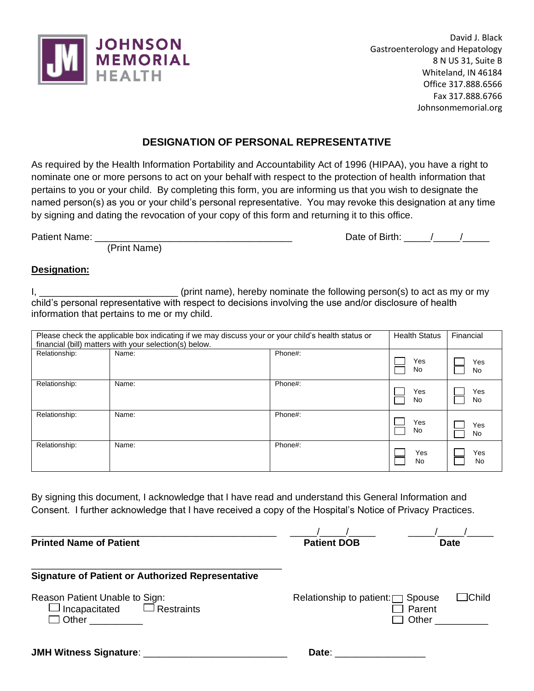

David J. Black Gastroenterology and Hepatology 8 N US 31, Suite B Whiteland, IN 46184 Office 317.888.6566 Fax 317.888.6766 Johnsonmemorial.org

## **DESIGNATION OF PERSONAL REPRESENTATIVE**

As required by the Health Information Portability and Accountability Act of 1996 (HIPAA), you have a right to nominate one or more persons to act on your behalf with respect to the protection of health information that pertains to you or your child. By completing this form, you are informing us that you wish to designate the named person(s) as you or your child's personal representative. You may revoke this designation at any time by signing and dating the revocation of your copy of this form and returning it to this office.

(Print Name)

## Patient Name: <br>
Patient Name: 
2010 12:20 12:20 12:20 12:20 12:20 12:20 12:20 12:20 12:20 12:20 12:20 12:20 12:20 12:20 12:20

## **Designation:**

I, \_\_\_\_\_\_\_\_\_\_\_\_\_\_\_\_\_\_\_\_\_\_\_\_\_\_\_\_\_\_\_\_\_ (print name), hereby nominate the following person(s) to act as my or my child's personal representative with respect to decisions involving the use and/or disclosure of health information that pertains to me or my child.

| Please check the applicable box indicating if we may discuss your or your child's health status or<br>financial (bill) matters with your selection(s) below. |       |         |           | Financial |
|--------------------------------------------------------------------------------------------------------------------------------------------------------------|-------|---------|-----------|-----------|
| Relationship:                                                                                                                                                | Name: | Phone#: | Yes<br>No | Yes<br>No |
| Relationship:                                                                                                                                                | Name: | Phone#: | Yes<br>No | Yes<br>No |
| Relationship:                                                                                                                                                | Name: | Phone#: | Yes<br>No | Yes<br>No |
| Relationship:                                                                                                                                                | Name: | Phone#: | Yes<br>No | Yes<br>No |

By signing this document, I acknowledge that I have read and understand this General Information and Consent. I further acknowledge that I have received a copy of the Hospital's Notice of Privacy Practices.

**Printed Name of Patient** 

\_\_\_\_\_\_\_\_\_\_\_\_\_\_\_\_\_\_\_\_\_\_\_\_\_\_\_\_\_\_\_\_\_\_\_\_\_\_\_\_\_\_\_\_\_\_\_ **Signature of Patient or Authorized Representative** Reason Patient Unable to Sign: <br>Relationship to patient: Spouse Child  $\Box$  Incapacitated  $\Box$  Restraints  $\Box$  Parent  $\Box$  Parent  $\Box$  Other □ Other \_\_\_\_\_\_\_\_\_ **JMH Witness Signature**: \_\_\_\_\_\_\_\_\_\_\_\_\_\_\_\_\_\_\_\_\_\_\_\_\_\_\_ **Date**: \_\_\_\_\_\_\_\_\_\_\_\_\_\_\_\_\_

 $\frac{1}{\frac{1}{\frac{1}{\sqrt{1}}}{\frac{1}{\sqrt{1}}}{\frac{1}{\sqrt{1}}}{\frac{1}{\sqrt{1}}}{\frac{1}{\sqrt{1}}}{\frac{1}{\sqrt{1}}}{\frac{1}{\sqrt{1}}}{\frac{1}{\sqrt{1}}}{\frac{1}{\sqrt{1}}}{\frac{1}{\sqrt{1}}}{\frac{1}{\sqrt{1}}}{\frac{1}{\sqrt{1}}}{\frac{1}{\sqrt{1}}}{\frac{1}{\sqrt{1}}}{\frac{1}{\sqrt{1}}}{\frac{1}{\sqrt{1}}}{\frac{1}{\sqrt{1}}}{\frac{1}{\sqrt{1}}}{\frac{1}{\sqrt{1}}}{\$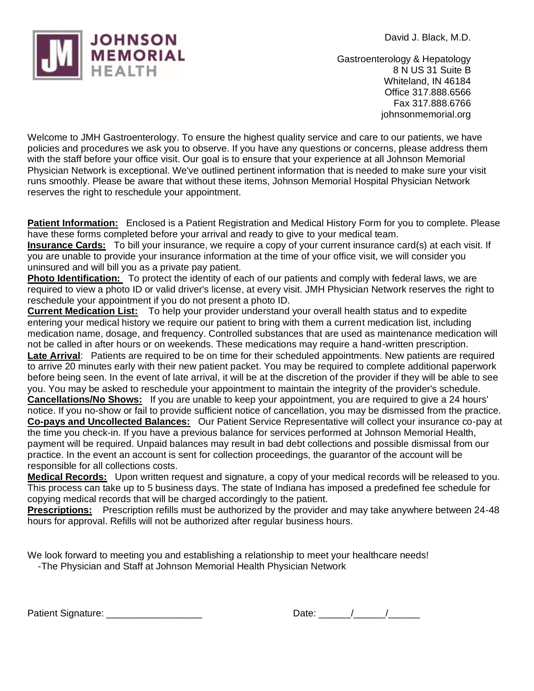



Gastroenterology & Hepatology 8 N US 31 Suite B Whiteland, IN 46184 Office 317.888.6566 Fax 317.888.6766 johnsonmemorial.org

Welcome to JMH Gastroenterology. To ensure the highest quality service and care to our patients, we have policies and procedures we ask you to observe. If you have any questions or concerns, please address them with the staff before your office visit. Our goal is to ensure that your experience at all Johnson Memorial Physician Network is exceptional. We've outlined pertinent information that is needed to make sure your visit runs smoothly. Please be aware that without these items, Johnson Memorial Hospital Physician Network reserves the right to reschedule your appointment.

**Patient Information:** Enclosed is a Patient Registration and Medical History Form for you to complete. Please have these forms completed before your arrival and ready to give to your medical team.

**Insurance Cards:** To bill your insurance, we require a copy of your current insurance card(s) at each visit. If you are unable to provide your insurance information at the time of your office visit, we will consider you uninsured and will bill you as a private pay patient.

**Photo Identification:** To protect the identity of each of our patients and comply with federal laws, we are required to view a photo ID or valid driver's license, at every visit. JMH Physician Network reserves the right to reschedule your appointment if you do not present a photo ID.

**Current Medication List:** To help your provider understand your overall health status and to expedite entering your medical history we require our patient to bring with them a current medication list, including medication name, dosage, and frequency. Controlled substances that are used as maintenance medication will not be called in after hours or on weekends. These medications may require a hand-written prescription. **Late Arrival**: Patients are required to be on time for their scheduled appointments. New patients are required to arrive 20 minutes early with their new patient packet. You may be required to complete additional paperwork before being seen. In the event of late arrival, it will be at the discretion of the provider if they will be able to see you. You may be asked to reschedule your appointment to maintain the integrity of the provider's schedule. **Cancellations/No Shows:** If you are unable to keep your appointment, you are required to give a 24 hours' notice. If you no-show or fail to provide sufficient notice of cancellation, you may be dismissed from the practice. **Co-pays and Uncollected Balances:** Our Patient Service Representative will collect your insurance co-pay at the time you check-in. If you have a previous balance for services performed at Johnson Memorial Health, payment will be required. Unpaid balances may result in bad debt collections and possible dismissal from our practice. In the event an account is sent for collection proceedings, the guarantor of the account will be responsible for all collections costs.

**Medical Records:** Upon written request and signature, a copy of your medical records will be released to you. This process can take up to 5 business days. The state of Indiana has imposed a predefined fee schedule for copying medical records that will be charged accordingly to the patient.

**Prescriptions:** Prescription refills must be authorized by the provider and may take anywhere between 24-48 hours for approval. Refills will not be authorized after regular business hours.

We look forward to meeting you and establishing a relationship to meet your healthcare needs!

-The Physician and Staff at Johnson Memorial Health Physician Network

| <b>Patient Signature:</b> |  |
|---------------------------|--|
|---------------------------|--|

| Date: |  |
|-------|--|
|-------|--|